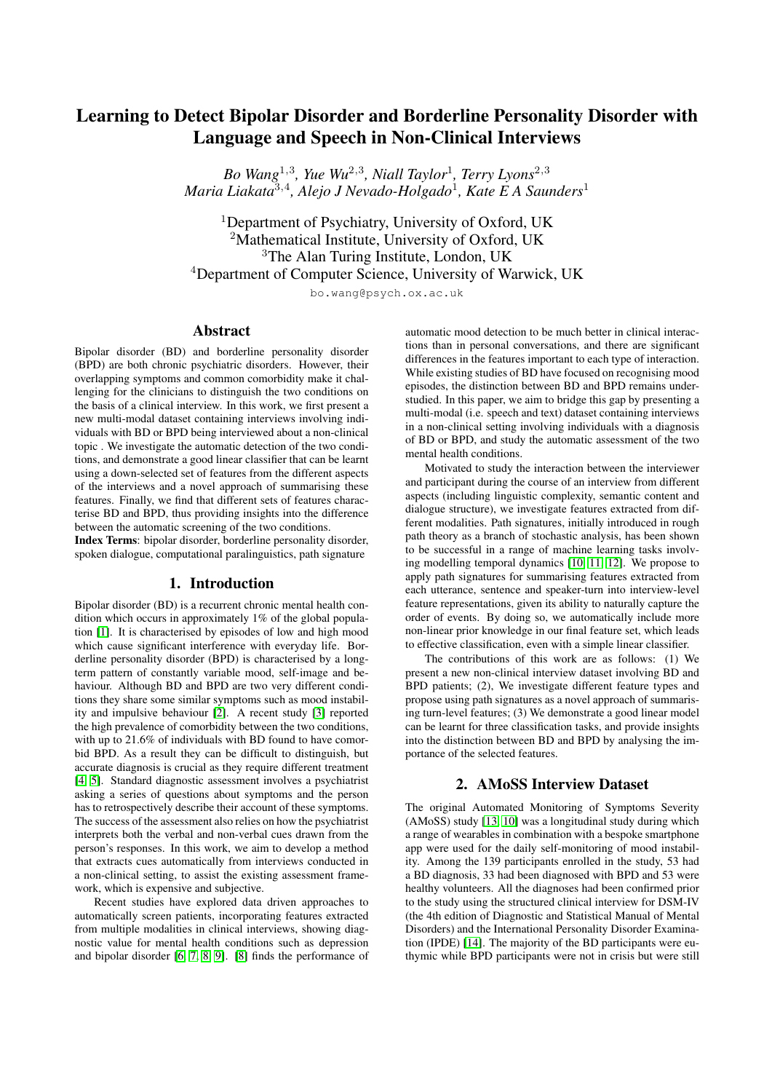# Learning to Detect Bipolar Disorder and Borderline Personality Disorder with Language and Speech in Non-Clinical Interviews

*Bo Wang*<sup>1</sup>,<sup>3</sup> *, Yue Wu*<sup>2</sup>,<sup>3</sup> *, Niall Taylor*<sup>1</sup> *, Terry Lyons*<sup>2</sup>,<sup>3</sup> *Maria Liakata*<sup>3</sup>,<sup>4</sup> *, Alejo J Nevado-Holgado*<sup>1</sup> *, Kate E A Saunders*<sup>1</sup>

<sup>1</sup>Department of Psychiatry, University of Oxford, UK <sup>2</sup>Mathematical Institute, University of Oxford, UK <sup>3</sup>The Alan Turing Institute, London, UK <sup>4</sup>Department of Computer Science, University of Warwick, UK

bo.wang@psych.ox.ac.uk

#### Abstract

Bipolar disorder (BD) and borderline personality disorder (BPD) are both chronic psychiatric disorders. However, their overlapping symptoms and common comorbidity make it challenging for the clinicians to distinguish the two conditions on the basis of a clinical interview. In this work, we first present a new multi-modal dataset containing interviews involving individuals with BD or BPD being interviewed about a non-clinical topic . We investigate the automatic detection of the two conditions, and demonstrate a good linear classifier that can be learnt using a down-selected set of features from the different aspects of the interviews and a novel approach of summarising these features. Finally, we find that different sets of features characterise BD and BPD, thus providing insights into the difference between the automatic screening of the two conditions.

Index Terms: bipolar disorder, borderline personality disorder, spoken dialogue, computational paralinguistics, path signature

#### 1. Introduction

Bipolar disorder (BD) is a recurrent chronic mental health condition which occurs in approximately 1% of the global population [\[1\]](#page-4-0). It is characterised by episodes of low and high mood which cause significant interference with everyday life. Borderline personality disorder (BPD) is characterised by a longterm pattern of constantly variable mood, self-image and behaviour. Although BD and BPD are two very different conditions they share some similar symptoms such as mood instability and impulsive behaviour [\[2\]](#page-4-1). A recent study [\[3\]](#page-4-2) reported the high prevalence of comorbidity between the two conditions, with up to 21.6% of individuals with BD found to have comorbid BPD. As a result they can be difficult to distinguish, but accurate diagnosis is crucial as they require different treatment [\[4,](#page-4-3) [5\]](#page-4-4). Standard diagnostic assessment involves a psychiatrist asking a series of questions about symptoms and the person has to retrospectively describe their account of these symptoms. The success of the assessment also relies on how the psychiatrist interprets both the verbal and non-verbal cues drawn from the person's responses. In this work, we aim to develop a method that extracts cues automatically from interviews conducted in a non-clinical setting, to assist the existing assessment framework, which is expensive and subjective.

Recent studies have explored data driven approaches to automatically screen patients, incorporating features extracted from multiple modalities in clinical interviews, showing diagnostic value for mental health conditions such as depression and bipolar disorder [\[6,](#page-4-5) [7,](#page-4-6) [8,](#page-4-7) [9\]](#page-4-8). [\[8\]](#page-4-7) finds the performance of automatic mood detection to be much better in clinical interactions than in personal conversations, and there are significant differences in the features important to each type of interaction. While existing studies of BD have focused on recognising mood episodes, the distinction between BD and BPD remains understudied. In this paper, we aim to bridge this gap by presenting a multi-modal (i.e. speech and text) dataset containing interviews in a non-clinical setting involving individuals with a diagnosis of BD or BPD, and study the automatic assessment of the two mental health conditions.

Motivated to study the interaction between the interviewer and participant during the course of an interview from different aspects (including linguistic complexity, semantic content and dialogue structure), we investigate features extracted from different modalities. Path signatures, initially introduced in rough path theory as a branch of stochastic analysis, has been shown to be successful in a range of machine learning tasks involving modelling temporal dynamics [\[10,](#page-4-9) [11,](#page-4-10) [12\]](#page-4-11). We propose to apply path signatures for summarising features extracted from each utterance, sentence and speaker-turn into interview-level feature representations, given its ability to naturally capture the order of events. By doing so, we automatically include more non-linear prior knowledge in our final feature set, which leads to effective classification, even with a simple linear classifier.

The contributions of this work are as follows: (1) We present a new non-clinical interview dataset involving BD and BPD patients; (2), We investigate different feature types and propose using path signatures as a novel approach of summarising turn-level features; (3) We demonstrate a good linear model can be learnt for three classification tasks, and provide insights into the distinction between BD and BPD by analysing the importance of the selected features.

## 2. AMoSS Interview Dataset

The original Automated Monitoring of Symptoms Severity (AMoSS) study [\[13,](#page-4-12) [10\]](#page-4-9) was a longitudinal study during which a range of wearables in combination with a bespoke smartphone app were used for the daily self-monitoring of mood instability. Among the 139 participants enrolled in the study, 53 had a BD diagnosis, 33 had been diagnosed with BPD and 53 were healthy volunteers. All the diagnoses had been confirmed prior to the study using the structured clinical interview for DSM-IV (the 4th edition of Diagnostic and Statistical Manual of Mental Disorders) and the International Personality Disorder Examination (IPDE) [\[14\]](#page-4-13). The majority of the BD participants were euthymic while BPD participants were not in crisis but were still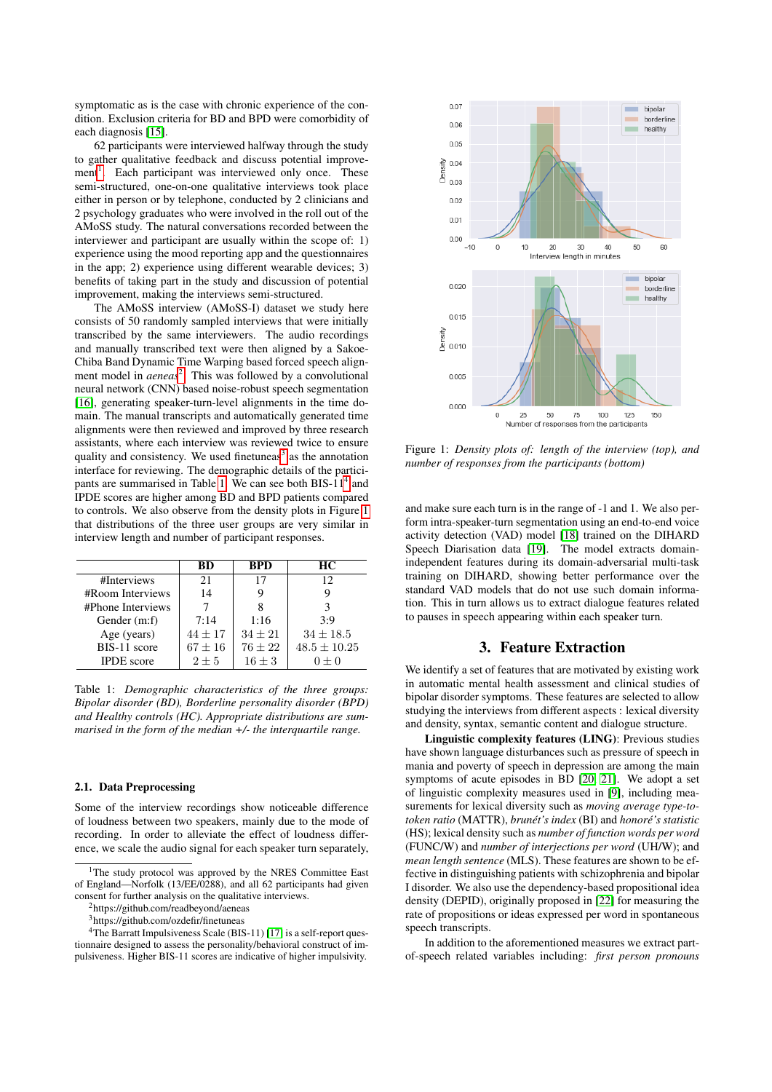symptomatic as is the case with chronic experience of the condition. Exclusion criteria for BD and BPD were comorbidity of each diagnosis [\[15\]](#page-4-14).

62 participants were interviewed halfway through the study to gather qualitative feedback and discuss potential improve-ment<sup>[1](#page-1-0)</sup>. Each participant was interviewed only once. These semi-structured, one-on-one qualitative interviews took place either in person or by telephone, conducted by 2 clinicians and 2 psychology graduates who were involved in the roll out of the AMoSS study. The natural conversations recorded between the interviewer and participant are usually within the scope of: 1) experience using the mood reporting app and the questionnaires in the app; 2) experience using different wearable devices; 3) benefits of taking part in the study and discussion of potential improvement, making the interviews semi-structured.

The AMoSS interview (AMoSS-I) dataset we study here consists of 50 randomly sampled interviews that were initially transcribed by the same interviewers. The audio recordings and manually transcribed text were then aligned by a Sakoe-Chiba Band Dynamic Time Warping based forced speech alignment model in *aeneas*<sup>[2](#page-1-1)</sup>. This was followed by a convolutional neural network (CNN) based noise-robust speech segmentation [\[16\]](#page-4-15), generating speaker-turn-level alignments in the time domain. The manual transcripts and automatically generated time alignments were then reviewed and improved by three research assistants, where each interview was reviewed twice to ensure quality and consistency. We used finetuneas<sup>[3](#page-1-2)</sup> as the annotation interface for reviewing. The demographic details of the partici-pants are summarised in Table [1.](#page-1-3) We can see both BIS-11<sup>[4](#page-1-4)</sup> and IPDE scores are higher among BD and BPD patients compared to controls. We also observe from the density plots in Figure [1](#page-1-5) that distributions of the three user groups are very similar in interview length and number of participant responses.

<span id="page-1-3"></span>

|                   | <b>BD</b> | <b>BPD</b> | HС               |
|-------------------|-----------|------------|------------------|
| #Interviews       | 21        | 17         | 12               |
| #Room Interviews  | 14        |            |                  |
| #Phone Interviews |           | 8          |                  |
| Gender $(m:f)$    | 7:14      | 1:16       | 3.9              |
| Age (years)       | $44 + 17$ | $34 + 21$  | $34 \pm 18.5$    |
| BIS-11 score      | $67 + 16$ | $76 + 22$  | $48.5 \pm 10.25$ |
| <b>IPDE</b> score | $2 + 5$   | $16 + 3$   | $0 + 0$          |

Table 1: *Demographic characteristics of the three groups: Bipolar disorder (BD), Borderline personality disorder (BPD) and Healthy controls (HC). Appropriate distributions are summarised in the form of the median +/- the interquartile range.*

#### 2.1. Data Preprocessing

Some of the interview recordings show noticeable difference of loudness between two speakers, mainly due to the mode of recording. In order to alleviate the effect of loudness difference, we scale the audio signal for each speaker turn separately,

<span id="page-1-5"></span>

Figure 1: *Density plots of: length of the interview (top), and number of responses from the participants (bottom)*

and make sure each turn is in the range of -1 and 1. We also perform intra-speaker-turn segmentation using an end-to-end voice activity detection (VAD) model [\[18\]](#page-4-17) trained on the DIHARD Speech Diarisation data [\[19\]](#page-4-18). The model extracts domainindependent features during its domain-adversarial multi-task training on DIHARD, showing better performance over the standard VAD models that do not use such domain information. This in turn allows us to extract dialogue features related to pauses in speech appearing within each speaker turn.

## 3. Feature Extraction

We identify a set of features that are motivated by existing work in automatic mental health assessment and clinical studies of bipolar disorder symptoms. These features are selected to allow studying the interviews from different aspects : lexical diversity and density, syntax, semantic content and dialogue structure.

Linguistic complexity features (LING): Previous studies have shown language disturbances such as pressure of speech in mania and poverty of speech in depression are among the main symptoms of acute episodes in BD [\[20,](#page-4-19) [21\]](#page-4-20). We adopt a set of linguistic complexity measures used in [\[9\]](#page-4-8), including measurements for lexical diversity such as *moving average type-totoken ratio* (MATTR), *brunet's index ´* (BI) and *honore's statistic ´* (HS); lexical density such as *number of function words per word* (FUNC/W) and *number of interjections per word* (UH/W); and *mean length sentence* (MLS). These features are shown to be effective in distinguishing patients with schizophrenia and bipolar I disorder. We also use the dependency-based propositional idea density (DEPID), originally proposed in [\[22\]](#page-4-21) for measuring the rate of propositions or ideas expressed per word in spontaneous speech transcripts.

In addition to the aforementioned measures we extract partof-speech related variables including: *first person pronouns*

<span id="page-1-0"></span><sup>&</sup>lt;sup>1</sup>The study protocol was approved by the NRES Committee East of England—Norfolk (13/EE/0288), and all 62 participants had given consent for further analysis on the qualitative interviews.

<span id="page-1-1"></span><sup>2</sup>https://github.com/readbeyond/aeneas

<span id="page-1-4"></span><span id="page-1-2"></span><sup>3</sup>https://github.com/ozdefir/finetuneas

<sup>4</sup>The Barratt Impulsiveness Scale (BIS-11) [\[17\]](#page-4-16) is a self-report questionnaire designed to assess the personality/behavioral construct of impulsiveness. Higher BIS-11 scores are indicative of higher impulsivity.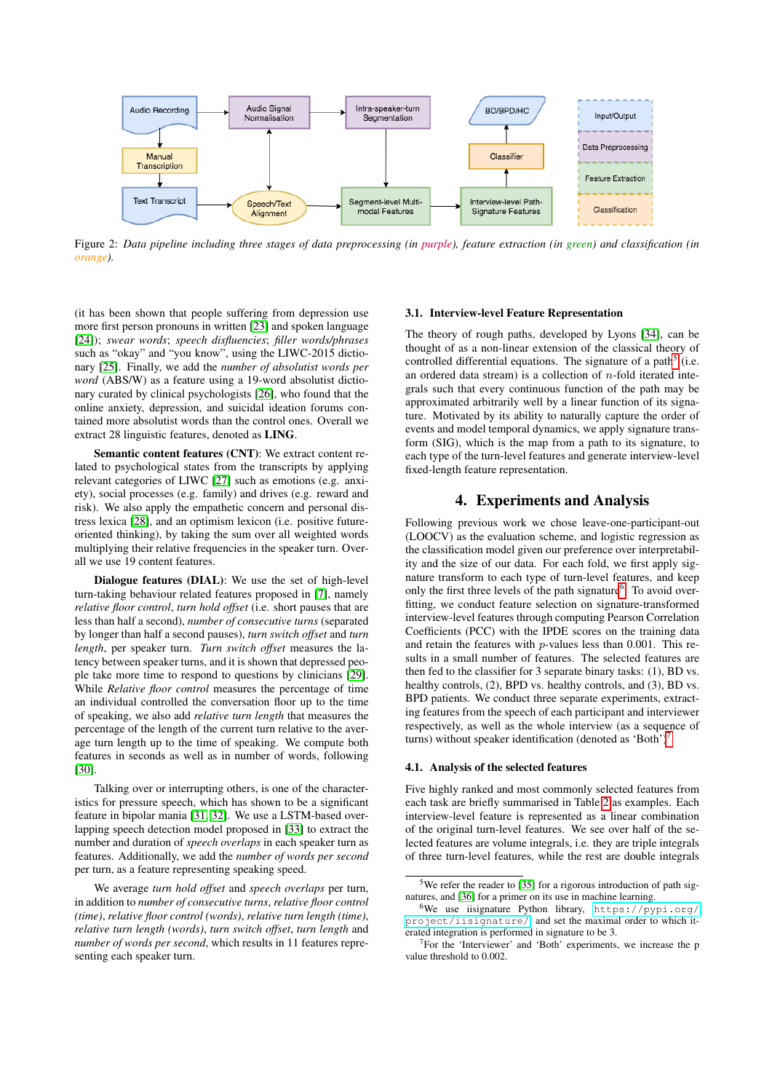

Figure 2: *Data pipeline including three stages of data preprocessing (in purple), feature extraction (in green) and classification (in orange).*

(it has been shown that people suffering from depression use more first person pronouns in written [\[23\]](#page-4-22) and spoken language [\[24\]](#page-4-23)); *swear words*; *speech disfluencies*; *filler words/phrases* such as "okay" and "you know", using the LIWC-2015 dictionary [\[25\]](#page-4-24). Finally, we add the *number of absolutist words per word* (ABS/W) as a feature using a 19-word absolutist dictionary curated by clinical psychologists [\[26\]](#page-4-25), who found that the online anxiety, depression, and suicidal ideation forums contained more absolutist words than the control ones. Overall we extract 28 linguistic features, denoted as LING.

Semantic content features (CNT): We extract content related to psychological states from the transcripts by applying relevant categories of LIWC [\[27\]](#page-4-26) such as emotions (e.g. anxiety), social processes (e.g. family) and drives (e.g. reward and risk). We also apply the empathetic concern and personal distress lexica [\[28\]](#page-4-27), and an optimism lexicon (i.e. positive futureoriented thinking), by taking the sum over all weighted words multiplying their relative frequencies in the speaker turn. Overall we use 19 content features.

Dialogue features (DIAL): We use the set of high-level turn-taking behaviour related features proposed in [\[7\]](#page-4-6), namely *relative floor control*, *turn hold offset* (i.e. short pauses that are less than half a second), *number of consecutive turns* (separated by longer than half a second pauses), *turn switch offset* and *turn length*, per speaker turn. *Turn switch offset* measures the latency between speaker turns, and it is shown that depressed people take more time to respond to questions by clinicians [\[29\]](#page-4-28). While *Relative floor control* measures the percentage of time an individual controlled the conversation floor up to the time of speaking, we also add *relative turn length* that measures the percentage of the length of the current turn relative to the average turn length up to the time of speaking. We compute both features in seconds as well as in number of words, following [\[30\]](#page-4-29).

Talking over or interrupting others, is one of the characteristics for pressure speech, which has shown to be a significant feature in bipolar mania [\[31,](#page-4-30) [32\]](#page-4-31). We use a LSTM-based overlapping speech detection model proposed in [\[33\]](#page-4-32) to extract the number and duration of *speech overlaps* in each speaker turn as features. Additionally, we add the *number of words per second* per turn, as a feature representing speaking speed.

We average *turn hold offset* and *speech overlaps* per turn, in addition to *number of consecutive turns*, *relative floor control (time)*, *relative floor control (words)*, *relative turn length (time)*, *relative turn length (words)*, *turn switch offset*, *turn length* and *number of words per second*, which results in 11 features representing each speaker turn.

#### 3.1. Interview-level Feature Representation

The theory of rough paths, developed by Lyons [\[34\]](#page-4-33), can be thought of as a non-linear extension of the classical theory of controlled differential equations. The signature of a path<sup>[5](#page-2-0)</sup> (i.e. an ordered data stream) is a collection of  $n$ -fold iterated integrals such that every continuous function of the path may be approximated arbitrarily well by a linear function of its signature. Motivated by its ability to naturally capture the order of events and model temporal dynamics, we apply signature transform (SIG), which is the map from a path to its signature, to each type of the turn-level features and generate interview-level fixed-length feature representation.

## 4. Experiments and Analysis

Following previous work we chose leave-one-participant-out (LOOCV) as the evaluation scheme, and logistic regression as the classification model given our preference over interpretability and the size of our data. For each fold, we first apply signature transform to each type of turn-level features, and keep only the first three levels of the path signature<sup>[6](#page-2-1)</sup>. To avoid overfitting, we conduct feature selection on signature-transformed interview-level features through computing Pearson Correlation Coefficients (PCC) with the IPDE scores on the training data and retain the features with p-values less than 0.001. This results in a small number of features. The selected features are then fed to the classifier for 3 separate binary tasks: (1), BD vs. healthy controls, (2), BPD vs. healthy controls, and (3), BD vs. BPD patients. We conduct three separate experiments, extracting features from the speech of each participant and interviewer respectively, as well as the whole interview (as a sequence of turns) without speaker identification (denoted as 'Both')<sup>[7](#page-2-2)</sup>.

#### 4.1. Analysis of the selected features

Five highly ranked and most commonly selected features from each task are briefly summarised in Table [2](#page-3-0) as examples. Each interview-level feature is represented as a linear combination of the original turn-level features. We see over half of the selected features are volume integrals, i.e. they are triple integrals of three turn-level features, while the rest are double integrals

<span id="page-2-0"></span><sup>&</sup>lt;sup>5</sup>We refer the reader to [\[35\]](#page-4-34) for a rigorous introduction of path signatures, and [\[36\]](#page-4-35) for a primer on its use in machine learning.

<span id="page-2-1"></span><sup>6</sup>We use iisignature Python library, [https://pypi.org/](https://pypi.org/project/iisignature/) [project/iisignature/](https://pypi.org/project/iisignature/), and set the maximal order to which iterated integration is performed in signature to be 3.

<span id="page-2-2"></span><sup>7</sup>For the 'Interviewer' and 'Both' experiments, we increase the p value threshold to 0.002.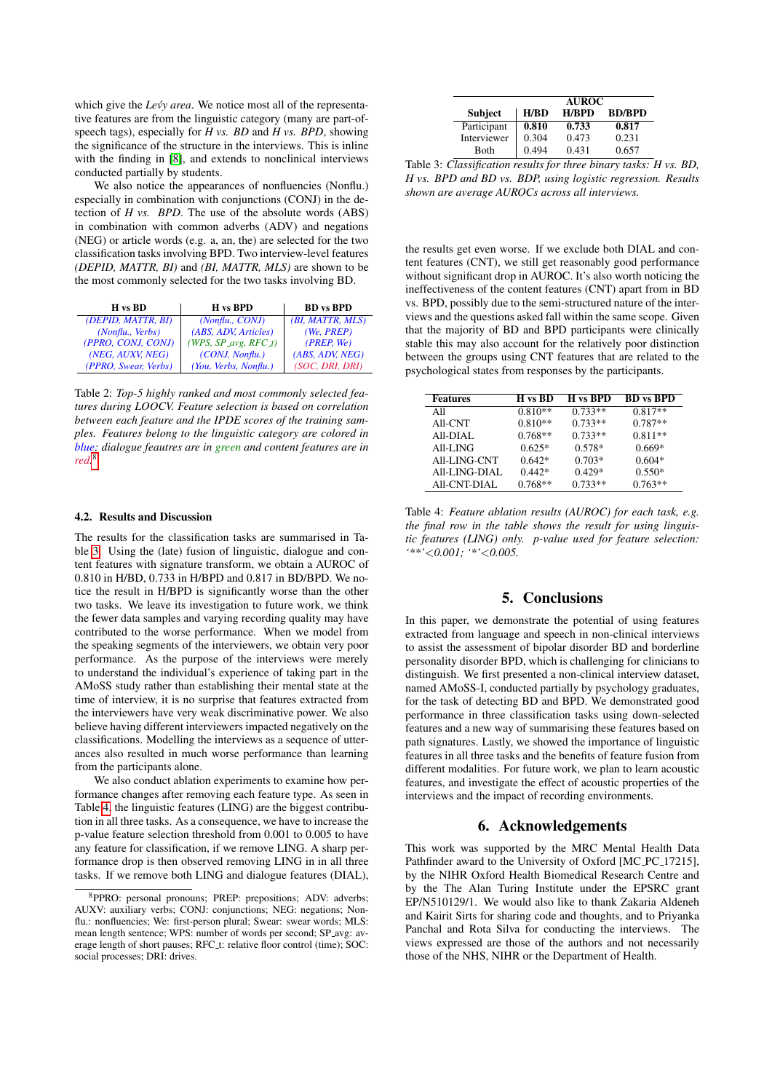which give the *Levy area*. We notice most all of the representative features are from the linguistic category (many are part-ofspeech tags), especially for *H vs. BD* and *H vs. BPD*, showing the significance of the structure in the interviews. This is inline with the finding in [\[8\]](#page-4-7), and extends to nonclinical interviews conducted partially by students.

We also notice the appearances of nonfluencies (Nonflu.) especially in combination with conjunctions (CONJ) in the detection of *H vs. BPD*. The use of the absolute words (ABS) in combination with common adverbs (ADV) and negations (NEG) or article words (e.g. a, an, the) are selected for the two classification tasks involving BPD. Two interview-level features *(DEPID, MATTR, BI)* and *(BI, MATTR, MLS)* are shown to be the most commonly selected for the two tasks involving BD.

<span id="page-3-0"></span>

| H vs BD              | H vs BPD                                    | <b>BD</b> vs <b>BPD</b> |
|----------------------|---------------------------------------------|-------------------------|
| (DEPID, MATTR, BI)   | (Nonflu., CONJ)                             | (BI, MATTR, MLS)        |
| (Nonflu., Verbs)     | (ABS, ADV, Articles)                        | (We, PREF)              |
| (PPRO, CONJ, CONJ)   | (WPS, $SP\_\text{avg}$ , RFC $\_\text{t}$ ) | (PREF, We)              |
| (NEG, AUXV, NEG)     | (CONJ, Nonflu.)                             | (ABS, ADV, NEG)         |
| (PPRO, Swear, Verbs) | (You, Verbs, Nonflu.)                       | (SOC, DRI, DRI)         |

Table 2: *Top-5 highly ranked and most commonly selected features during LOOCV. Feature selection is based on correlation between each feature and the IPDE scores of the training samples. Features belong to the linguistic category are colored in blue; dialogue feautres are in green and content features are in red.* [8](#page-3-1)

#### 4.2. Results and Discussion

The results for the classification tasks are summarised in Table [3.](#page-3-2) Using the (late) fusion of linguistic, dialogue and content features with signature transform, we obtain a AUROC of 0.810 in H/BD, 0.733 in H/BPD and 0.817 in BD/BPD. We notice the result in H/BPD is significantly worse than the other two tasks. We leave its investigation to future work, we think the fewer data samples and varying recording quality may have contributed to the worse performance. When we model from the speaking segments of the interviewers, we obtain very poor performance. As the purpose of the interviews were merely to understand the individual's experience of taking part in the AMoSS study rather than establishing their mental state at the time of interview, it is no surprise that features extracted from the interviewers have very weak discriminative power. We also believe having different interviewers impacted negatively on the classifications. Modelling the interviews as a sequence of utterances also resulted in much worse performance than learning from the participants alone.

We also conduct ablation experiments to examine how performance changes after removing each feature type. As seen in Table [4,](#page-3-3) the linguistic features (LING) are the biggest contribution in all three tasks. As a consequence, we have to increase the p-value feature selection threshold from 0.001 to 0.005 to have any feature for classification, if we remove LING. A sharp performance drop is then observed removing LING in in all three tasks. If we remove both LING and dialogue features (DIAL),

<span id="page-3-2"></span>

|                | <b>AUROC</b> |              |               |
|----------------|--------------|--------------|---------------|
| <b>Subject</b> | H/BD         | <b>H/BPD</b> | <b>BD/BPD</b> |
| Participant    | 0.810        | 0.733        | 0.817         |
| Interviewer    | 0.304        | 0.473        | 0.231         |
| <b>Both</b>    | 0.494        | 0.431        | 0.657         |

Table 3: *Classification results for three binary tasks: H vs. BD, H vs. BPD and BD vs. BDP, using logistic regression. Results shown are average AUROCs across all interviews.*

the results get even worse. If we exclude both DIAL and content features (CNT), we still get reasonably good performance without significant drop in AUROC. It's also worth noticing the ineffectiveness of the content features (CNT) apart from in BD vs. BPD, possibly due to the semi-structured nature of the interviews and the questions asked fall within the same scope. Given that the majority of BD and BPD participants were clinically stable this may also account for the relatively poor distinction between the groups using CNT features that are related to the psychological states from responses by the participants.

<span id="page-3-3"></span>

| <b>Features</b>     | H vs BD   | H vs BPD  | <b>BD</b> vs <b>BPD</b> |
|---------------------|-----------|-----------|-------------------------|
| A11                 | $0.810**$ | $0.733**$ | $0.817**$               |
| All-CNT             | $0.810**$ | $0.733**$ | $0.787**$               |
| All-DIAL            | $0.768**$ | $0.733**$ | $0.811**$               |
| All-LING            | $0.625*$  | $0.578*$  | $0.669*$                |
| All-LING-CNT        | $0.642*$  | $0.703*$  | $0.604*$                |
| All-LING-DIAL       | $0.442*$  | $0.429*$  | $0.550*$                |
| <b>All-CNT-DIAL</b> | $0.768**$ | $0.733**$ | $0.763**$               |

Table 4: *Feature ablation results (AUROC) for each task, e.g. the final row in the table shows the result for using linguistic features (LING) only. p-value used for feature selection: '\*\*'*<*0.001; '\*'*<*0.005.*

# 5. Conclusions

In this paper, we demonstrate the potential of using features extracted from language and speech in non-clinical interviews to assist the assessment of bipolar disorder BD and borderline personality disorder BPD, which is challenging for clinicians to distinguish. We first presented a non-clinical interview dataset, named AMoSS-I, conducted partially by psychology graduates, for the task of detecting BD and BPD. We demonstrated good performance in three classification tasks using down-selected features and a new way of summarising these features based on path signatures. Lastly, we showed the importance of linguistic features in all three tasks and the benefits of feature fusion from different modalities. For future work, we plan to learn acoustic features, and investigate the effect of acoustic properties of the interviews and the impact of recording environments.

## 6. Acknowledgements

This work was supported by the MRC Mental Health Data Pathfinder award to the University of Oxford [MC\_PC\_17215], by the NIHR Oxford Health Biomedical Research Centre and by the The Alan Turing Institute under the EPSRC grant EP/N510129/1. We would also like to thank Zakaria Aldeneh and Kairit Sirts for sharing code and thoughts, and to Priyanka Panchal and Rota Silva for conducting the interviews. The views expressed are those of the authors and not necessarily those of the NHS, NIHR or the Department of Health.

<span id="page-3-1"></span><sup>8</sup>PPRO: personal pronouns; PREP: prepositions; ADV: adverbs; AUXV: auxiliary verbs; CONJ: conjunctions; NEG: negations; Nonflu.: nonfluencies: We: first-person plural: Swear: swear words: MLS: mean length sentence; WPS: number of words per second; SP\_avg: average length of short pauses; RFC<sub>-t:</sub> relative floor control (time); SOC: social processes; DRI: drives.